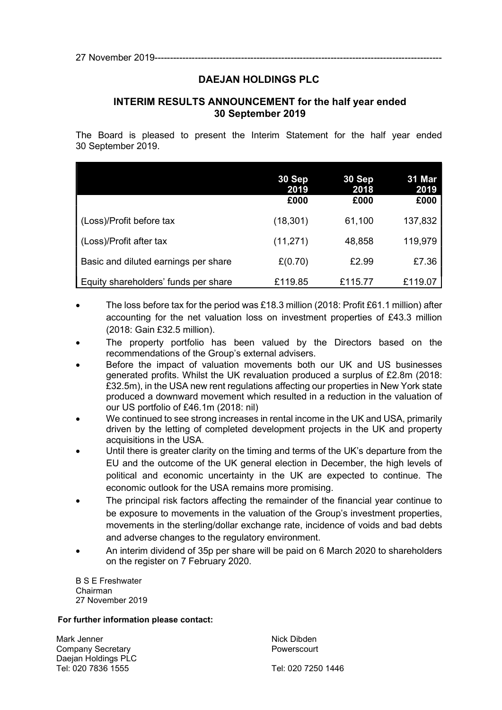# DAEJAN HOLDINGS PLC

# INTERIM RESULTS ANNOUNCEMENT for the half year ended 30 September 2019

The Board is pleased to present the Interim Statement for the half year ended 30 September 2019.

|                                      | 30 Sep<br>2019<br>£000 | 30 Sep<br>2018<br>£000 | 31 Mar<br>2019<br>£000 |
|--------------------------------------|------------------------|------------------------|------------------------|
| (Loss)/Profit before tax             | (18,301)               | 61,100                 | 137,832                |
| (Loss)/Profit after tax              | (11, 271)              | 48,858                 | 119,979                |
| Basic and diluted earnings per share | £(0.70)                | £2.99                  | £7.36                  |
| Equity shareholders' funds per share | £119.85                | £115.77                | £119.07                |

- The loss before tax for the period was £18.3 million (2018: Profit £61.1 million) after accounting for the net valuation loss on investment properties of £43.3 million (2018: Gain £32.5 million).
- The property portfolio has been valued by the Directors based on the recommendations of the Group's external advisers.
- Before the impact of valuation movements both our UK and US businesses generated profits. Whilst the UK revaluation produced a surplus of £2.8m (2018: £32.5m), in the USA new rent regulations affecting our properties in New York state produced a downward movement which resulted in a reduction in the valuation of our US portfolio of £46.1m (2018: nil)
- We continued to see strong increases in rental income in the UK and USA, primarily driven by the letting of completed development projects in the UK and property acquisitions in the USA.
- Until there is greater clarity on the timing and terms of the UK's departure from the EU and the outcome of the UK general election in December, the high levels of political and economic uncertainty in the UK are expected to continue. The economic outlook for the USA remains more promising.
- The principal risk factors affecting the remainder of the financial year continue to be exposure to movements in the valuation of the Group's investment properties, movements in the sterling/dollar exchange rate, incidence of voids and bad debts and adverse changes to the regulatory environment.
- An interim dividend of 35p per share will be paid on 6 March 2020 to shareholders on the register on 7 February 2020.

B S E Freshwater Chairman 27 November 2019

#### For further information please contact:

Mark Jenner Nick Dibden Company Secretary **Powerscourt** Daejan Holdings PLC Tel: 020 7836 1555 Tel: 020 7250 1446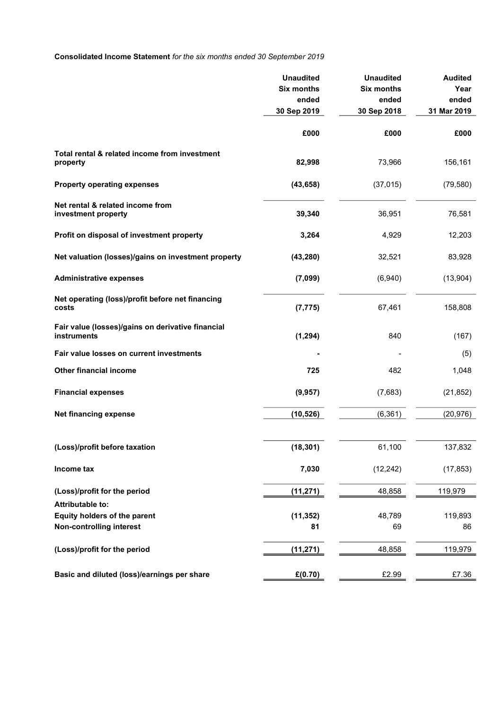# Consolidated Income Statement for the six months ended 30 September 2019

|                                                                         | <b>Unaudited</b><br><b>Six months</b><br>ended<br>30 Sep 2019 | <b>Unaudited</b><br><b>Six months</b><br>ended<br>30 Sep 2018 | <b>Audited</b><br>Year<br>ended<br>31 Mar 2019 |
|-------------------------------------------------------------------------|---------------------------------------------------------------|---------------------------------------------------------------|------------------------------------------------|
|                                                                         | £000                                                          | £000                                                          | £000                                           |
| Total rental & related income from investment<br>property               | 82,998                                                        | 73,966                                                        | 156,161                                        |
| <b>Property operating expenses</b>                                      | (43, 658)                                                     | (37, 015)                                                     | (79, 580)                                      |
| Net rental & related income from<br>investment property                 | 39,340                                                        | 36,951                                                        | 76,581                                         |
| Profit on disposal of investment property                               | 3,264                                                         | 4,929                                                         | 12,203                                         |
| Net valuation (losses)/gains on investment property                     | (43, 280)                                                     | 32,521                                                        | 83,928                                         |
| <b>Administrative expenses</b>                                          | (7,099)                                                       | (6,940)                                                       | (13,904)                                       |
| Net operating (loss)/profit before net financing<br>costs               | (7, 775)                                                      | 67,461                                                        | 158,808                                        |
| Fair value (losses)/gains on derivative financial<br><b>instruments</b> | (1, 294)                                                      | 840                                                           | (167)                                          |
| Fair value losses on current investments                                |                                                               |                                                               | (5)                                            |
| Other financial income                                                  | 725                                                           | 482                                                           | 1,048                                          |
| <b>Financial expenses</b>                                               | (9, 957)                                                      | (7,683)                                                       | (21, 852)                                      |
| <b>Net financing expense</b>                                            | (10, 526)                                                     | (6, 361)                                                      | (20, 976)                                      |
| (Loss)/profit before taxation                                           | (18, 301)                                                     | 61,100                                                        | 137,832                                        |
| Income tax                                                              | 7,030                                                         | (12, 242)                                                     | (17, 853)                                      |
| (Loss)/profit for the period                                            | (11, 271)                                                     | 48,858                                                        | 119,979                                        |
| <b>Attributable to:</b>                                                 |                                                               |                                                               |                                                |
| Equity holders of the parent<br><b>Non-controlling interest</b>         | (11, 352)<br>81                                               | 48,789<br>69                                                  | 119,893<br>86                                  |
|                                                                         |                                                               |                                                               |                                                |
| (Loss)/profit for the period                                            | (11, 271)                                                     | 48,858                                                        | 119,979                                        |
| Basic and diluted (loss)/earnings per share                             | £(0.70)                                                       | £2.99                                                         | £7.36                                          |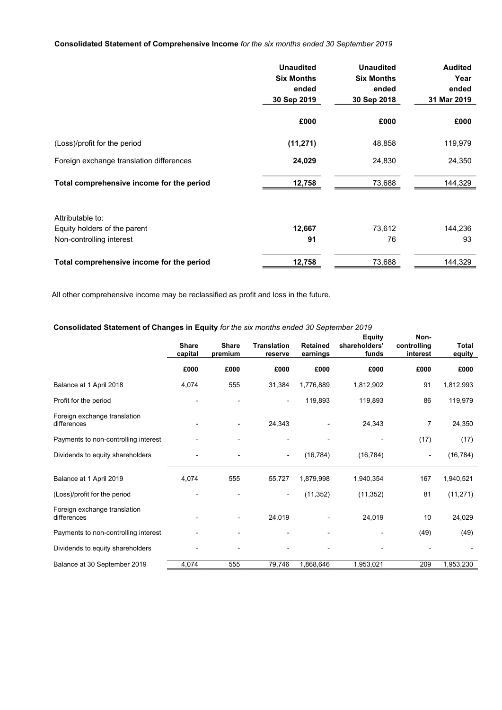#### Consolidated Statement of Comprehensive Income for the six months ended 30 September 2019

|                                           | <b>Unaudited</b><br><b>Six Months</b> | <b>Unaudited</b><br><b>Six Months</b> | <b>Audited</b><br>Year |
|-------------------------------------------|---------------------------------------|---------------------------------------|------------------------|
|                                           | ended                                 | ended                                 | ended                  |
|                                           | 30 Sep 2019                           | 30 Sep 2018                           | 31 Mar 2019            |
|                                           | £000                                  | £000                                  | £000                   |
| (Loss)/profit for the period              | (11, 271)                             | 48,858                                | 119,979                |
| Foreign exchange translation differences  | 24,029                                | 24,830                                | 24,350                 |
| Total comprehensive income for the period | 12,758                                | 73,688                                | 144,329                |
| Attributable to:                          |                                       |                                       |                        |
| Equity holders of the parent              | 12,667                                | 73,612                                | 144,236                |
| Non-controlling interest                  | 91                                    | 76                                    | 93                     |
| Total comprehensive income for the period | 12,758                                | 73,688                                | 144,329                |

All other comprehensive income may be reclassified as profit and loss in the future.

#### Consolidated Statement of Changes in Equity for the six months ended 30 September 2019

|                                             | Share<br>capital | <b>Share</b><br>premium | Translation<br>reserve   | <b>Retained</b><br>earnings  | <b>Equity</b><br>shareholders'<br>funds | Non-<br>controlling<br>interest | <b>Total</b><br>equity |
|---------------------------------------------|------------------|-------------------------|--------------------------|------------------------------|-----------------------------------------|---------------------------------|------------------------|
|                                             | £000             | £000                    | £000                     | £000                         | £000                                    | £000                            | £000                   |
| Balance at 1 April 2018                     | 4,074            | 555                     | 31,384                   | 1,776,889                    | 1,812,902                               | 91                              | 1,812,993              |
| Profit for the period                       |                  |                         |                          | 119,893                      | 119,893                                 | 86                              | 119,979                |
| Foreign exchange translation<br>differences |                  |                         | 24,343                   |                              | 24,343                                  | $\overline{7}$                  | 24,350                 |
| Payments to non-controlling interest        |                  |                         |                          | $\qquad \qquad \blacksquare$ |                                         | (17)                            | (17)                   |
| Dividends to equity shareholders            |                  |                         | $\overline{\phantom{a}}$ | (16, 784)                    | (16, 784)                               | ۰                               | (16, 784)              |
| Balance at 1 April 2019                     | 4,074            | 555                     | 55,727                   | 1,879,998                    | 1,940,354                               | 167                             | 1,940,521              |
| (Loss)/profit for the period                |                  |                         | $\overline{\phantom{a}}$ | (11, 352)                    | (11, 352)                               | 81                              | (11, 271)              |
| Foreign exchange translation<br>differences |                  |                         | 24,019                   |                              | 24,019                                  | 10                              | 24,029                 |
| Payments to non-controlling interest        |                  |                         |                          |                              |                                         | (49)                            | (49)                   |
| Dividends to equity shareholders            |                  |                         |                          |                              |                                         |                                 |                        |
| Balance at 30 September 2019                | 4,074            | 555                     | 79,746                   | 1,868,646                    | 1,953,021                               | 209                             | 1,953,230              |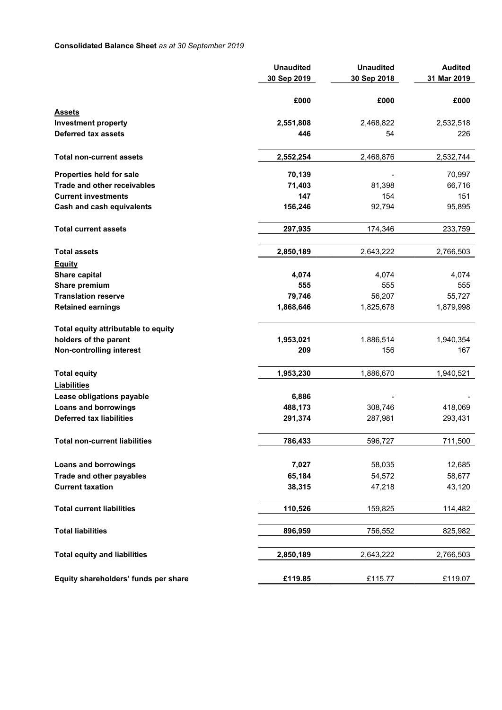### Consolidated Balance Sheet as at 30 September 2019

|                                      | <b>Unaudited</b><br>30 Sep 2019 | <b>Unaudited</b><br>30 Sep 2018 | <b>Audited</b><br>31 Mar 2019 |
|--------------------------------------|---------------------------------|---------------------------------|-------------------------------|
|                                      | £000                            | £000                            | £000                          |
| Assets                               |                                 |                                 |                               |
| <b>Investment property</b>           | 2,551,808                       | 2,468,822                       | 2,532,518                     |
| <b>Deferred tax assets</b>           | 446                             | 54                              | 226                           |
| <b>Total non-current assets</b>      | 2,552,254                       | 2,468,876                       | 2,532,744                     |
| Properties held for sale             | 70,139                          |                                 | 70,997                        |
| <b>Trade and other receivables</b>   | 71,403                          | 81,398                          | 66,716                        |
| <b>Current investments</b>           | 147                             | 154                             | 151                           |
| <b>Cash and cash equivalents</b>     | 156,246                         | 92,794                          | 95,895                        |
| <b>Total current assets</b>          | 297,935                         | 174,346                         | 233,759                       |
| <b>Total assets</b>                  | 2,850,189                       | 2,643,222                       | 2,766,503                     |
| <b>Equity</b>                        |                                 |                                 |                               |
| Share capital                        | 4,074                           | 4,074                           | 4,074                         |
| Share premium                        | 555                             | 555                             | 555                           |
| <b>Translation reserve</b>           | 79,746                          | 56,207                          | 55,727                        |
| <b>Retained earnings</b>             | 1,868,646                       | 1,825,678                       | 1,879,998                     |
| Total equity attributable to equity  |                                 |                                 |                               |
| holders of the parent                | 1,953,021                       | 1,886,514                       | 1,940,354                     |
| <b>Non-controlling interest</b>      | 209                             | 156                             | 167                           |
| <b>Total equity</b>                  | 1,953,230                       | 1,886,670                       | 1,940,521                     |
| <b>Liabilities</b>                   |                                 |                                 |                               |
| Lease obligations payable            | 6,886                           |                                 |                               |
| <b>Loans and borrowings</b>          | 488,173                         | 308,746                         | 418,069                       |
| <b>Deferred tax liabilities</b>      | 291,374                         | 287,981                         | 293,431                       |
| <b>Total non-current liabilities</b> | 786,433                         | 596,727                         | 711,500                       |
| <b>Loans and borrowings</b>          | 7,027                           | 58,035                          | 12,685                        |
| Trade and other payables             | 65,184                          | 54,572                          | 58,677                        |
| <b>Current taxation</b>              | 38,315                          | 47,218                          | 43,120                        |
| <b>Total current liabilities</b>     | 110,526                         | 159,825                         | 114,482                       |
|                                      |                                 |                                 |                               |
| <b>Total liabilities</b>             | 896,959                         | 756,552                         | 825,982                       |
| <b>Total equity and liabilities</b>  | 2,850,189                       | 2,643,222                       | 2,766,503                     |
| Equity shareholders' funds per share | £119.85                         | £115.77                         | £119.07                       |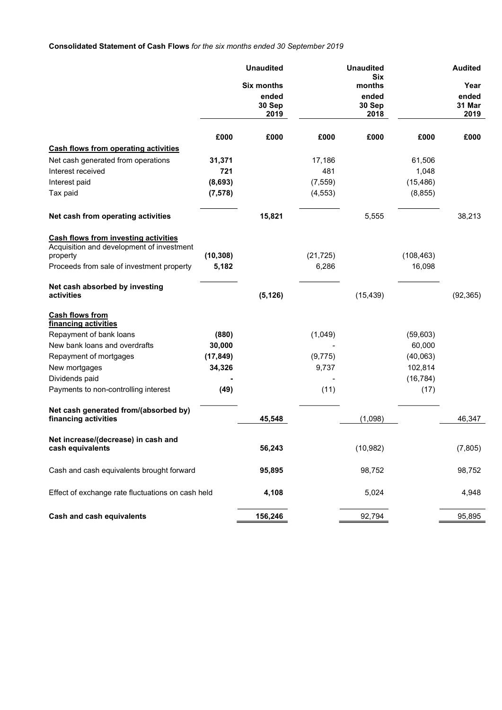# Consolidated Statement of Cash Flows for the six months ended 30 September 2019

|                                                                                          |           | <b>Unaudited</b>  |           | <b>Unaudited</b><br><b>Six</b> |            | <b>Audited</b>  |
|------------------------------------------------------------------------------------------|-----------|-------------------|-----------|--------------------------------|------------|-----------------|
|                                                                                          |           | <b>Six months</b> |           | months                         |            | Year            |
|                                                                                          |           | ended<br>30 Sep   |           | ended<br>30 Sep                |            | ended<br>31 Mar |
|                                                                                          |           | 2019              |           | 2018                           |            | 2019            |
|                                                                                          | £000      | £000              | £000      | £000                           | £000       | £000            |
| <b>Cash flows from operating activities</b>                                              |           |                   |           |                                |            |                 |
| Net cash generated from operations                                                       | 31,371    |                   | 17,186    |                                | 61,506     |                 |
| Interest received                                                                        | 721       |                   | 481       |                                | 1,048      |                 |
| Interest paid                                                                            | (8,693)   |                   | (7, 559)  |                                | (15, 486)  |                 |
| Tax paid                                                                                 | (7, 578)  |                   | (4, 553)  |                                | (8, 855)   |                 |
| Net cash from operating activities                                                       |           | 15,821            |           | 5,555                          |            | 38,213          |
| <b>Cash flows from investing activities</b><br>Acquisition and development of investment |           |                   |           |                                |            |                 |
| property                                                                                 | (10, 308) |                   | (21, 725) |                                | (108, 463) |                 |
| Proceeds from sale of investment property                                                | 5,182     |                   | 6,286     |                                | 16,098     |                 |
| Net cash absorbed by investing                                                           |           |                   |           |                                |            |                 |
| activities                                                                               |           | (5, 126)          |           | (15, 439)                      |            | (92, 365)       |
| <b>Cash flows from</b><br>financing activities                                           |           |                   |           |                                |            |                 |
| Repayment of bank loans                                                                  | (880)     |                   | (1,049)   |                                | (59,603)   |                 |
| New bank loans and overdrafts                                                            | 30,000    |                   |           |                                | 60,000     |                 |
| Repayment of mortgages                                                                   | (17, 849) |                   | (9, 775)  |                                | (40,063)   |                 |
| New mortgages                                                                            | 34,326    |                   | 9,737     |                                | 102,814    |                 |
| Dividends paid                                                                           |           |                   |           |                                | (16, 784)  |                 |
| Payments to non-controlling interest                                                     | (49)      |                   | (11)      |                                | (17)       |                 |
| Net cash generated from/(absorbed by)<br>financing activities                            |           | 45,548            |           | (1,098)                        |            | 46,347          |
|                                                                                          |           |                   |           |                                |            |                 |
| Net increase/(decrease) in cash and<br>cash equivalents                                  |           | 56,243            |           | (10, 982)                      |            | (7, 805)        |
| Cash and cash equivalents brought forward                                                |           | 95,895            |           | 98,752                         |            | 98,752          |
| Effect of exchange rate fluctuations on cash held                                        |           | 4,108             |           | 5,024                          |            | 4,948           |
| <b>Cash and cash equivalents</b>                                                         |           | 156,246           |           | 92,794                         |            | 95,895          |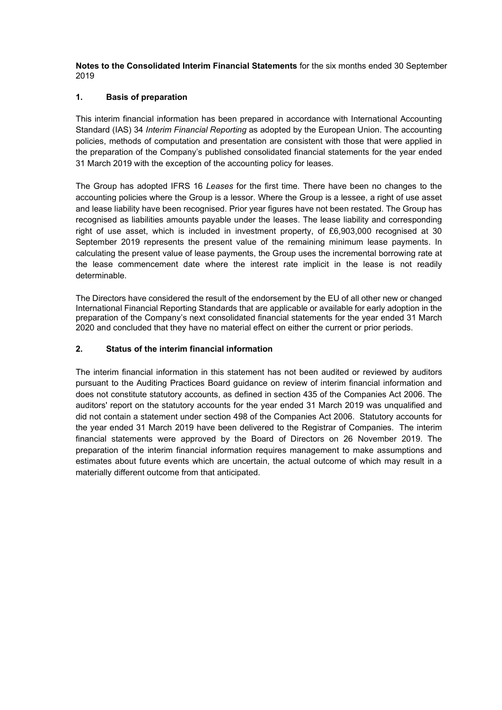Notes to the Consolidated Interim Financial Statements for the six months ended 30 September 2019

### 1. Basis of preparation

 This interim financial information has been prepared in accordance with International Accounting Standard (IAS) 34 Interim Financial Reporting as adopted by the European Union. The accounting policies, methods of computation and presentation are consistent with those that were applied in the preparation of the Company's published consolidated financial statements for the year ended 31 March 2019 with the exception of the accounting policy for leases.

The Group has adopted IFRS 16 Leases for the first time. There have been no changes to the accounting policies where the Group is a lessor. Where the Group is a lessee, a right of use asset and lease liability have been recognised. Prior year figures have not been restated. The Group has recognised as liabilities amounts payable under the leases. The lease liability and corresponding right of use asset, which is included in investment property, of £6,903,000 recognised at 30 September 2019 represents the present value of the remaining minimum lease payments. In calculating the present value of lease payments, the Group uses the incremental borrowing rate at the lease commencement date where the interest rate implicit in the lease is not readily determinable.

The Directors have considered the result of the endorsement by the EU of all other new or changed International Financial Reporting Standards that are applicable or available for early adoption in the preparation of the Company's next consolidated financial statements for the year ended 31 March 2020 and concluded that they have no material effect on either the current or prior periods.

### 2. Status of the interim financial information

The interim financial information in this statement has not been audited or reviewed by auditors pursuant to the Auditing Practices Board guidance on review of interim financial information and does not constitute statutory accounts, as defined in section 435 of the Companies Act 2006. The auditors' report on the statutory accounts for the year ended 31 March 2019 was unqualified and did not contain a statement under section 498 of the Companies Act 2006. Statutory accounts for the year ended 31 March 2019 have been delivered to the Registrar of Companies. The interim financial statements were approved by the Board of Directors on 26 November 2019. The preparation of the interim financial information requires management to make assumptions and estimates about future events which are uncertain, the actual outcome of which may result in a materially different outcome from that anticipated.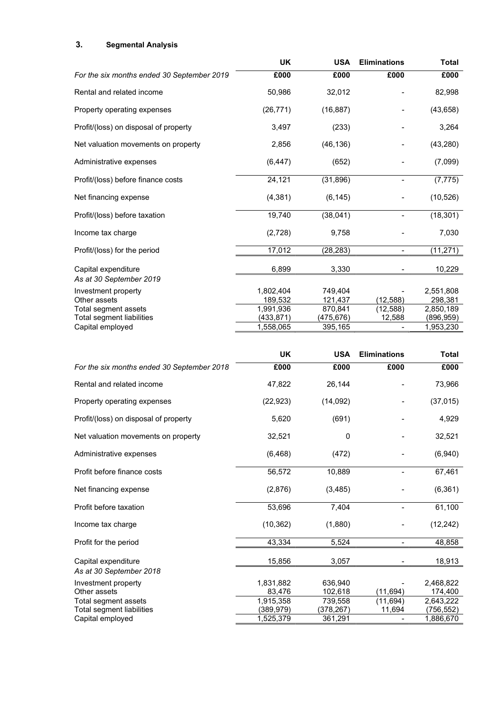# 3. Segmental Analysis

|                                                | <b>UK</b> | <b>USA</b> | <b>Eliminations</b> | <b>Total</b> |
|------------------------------------------------|-----------|------------|---------------------|--------------|
| For the six months ended 30 September 2019     | £000      | £000       | £000                | £000         |
| Rental and related income                      | 50,986    | 32,012     |                     | 82,998       |
| Property operating expenses                    | (26, 771) | (16, 887)  |                     | (43, 658)    |
| Profit/(loss) on disposal of property          | 3,497     | (233)      |                     | 3,264        |
| Net valuation movements on property            | 2,856     | (46, 136)  |                     | (43, 280)    |
| Administrative expenses                        | (6, 447)  | (652)      |                     | (7,099)      |
| Profit/(loss) before finance costs             | 24,121    | (31, 896)  |                     | (7, 775)     |
| Net financing expense                          | (4, 381)  | (6, 145)   |                     | (10, 526)    |
| Profit/(loss) before taxation                  | 19,740    | (38, 041)  |                     | (18, 301)    |
| Income tax charge                              | (2,728)   | 9,758      |                     | 7,030        |
| Profit/(loss) for the period                   | 17,012    | (28, 283)  |                     | (11, 271)    |
| Capital expenditure<br>As at 30 September 2019 | 6,899     | 3,330      |                     | 10,229       |
| Investment property                            | 1,802,404 | 749,404    |                     | 2,551,808    |
| Other assets                                   | 189,532   | 121,437    | (12,588)            | 298,381      |
| Total segment assets                           | 1,991,936 | 870,841    | (12, 588)           | 2,850,189    |
| Total segment liabilities                      | (433,871) | (475,676)  | 12,588              | (896,959)    |
| Capital employed                               | 1,558,065 | 395,165    |                     | 1,953,230    |

|                                                | <b>UK</b>              | <b>USA</b>            | <b>Eliminations</b>      | <b>Total</b>            |
|------------------------------------------------|------------------------|-----------------------|--------------------------|-------------------------|
| For the six months ended 30 September 2018     | £000                   | £000                  | £000                     | £000                    |
| Rental and related income                      | 47,822                 | 26,144                |                          | 73,966                  |
| Property operating expenses                    | (22, 923)              | (14,092)              |                          | (37, 015)               |
| Profit/(loss) on disposal of property          | 5,620                  | (691)                 |                          | 4,929                   |
| Net valuation movements on property            | 32,521                 | 0                     |                          | 32,521                  |
| Administrative expenses                        | (6, 468)               | (472)                 |                          | (6,940)                 |
| Profit before finance costs                    | 56,572                 | 10,889                | $\overline{\phantom{0}}$ | 67,461                  |
| Net financing expense                          | (2,876)                | (3, 485)              |                          | (6, 361)                |
| Profit before taxation                         | 53,696                 | 7,404                 |                          | 61,100                  |
| Income tax charge                              | (10, 362)              | (1,880)               |                          | (12, 242)               |
| Profit for the period                          | 43,334                 | 5,524                 | $\overline{\phantom{a}}$ | 48,858                  |
| Capital expenditure<br>As at 30 September 2018 | 15,856                 | 3,057                 |                          | 18,913                  |
| Investment property<br>Other assets            | 1,831,882<br>83,476    | 636,940<br>102,618    | (11, 694)                | 2,468,822<br>174,400    |
| Total segment assets                           | 1,915,358              | 739,558               | (11, 694)                | 2,643,222               |
| Total segment liabilities<br>Capital employed  | (389,979)<br>1,525,379 | (378, 267)<br>361,291 | 11,694                   | (756, 552)<br>1,886,670 |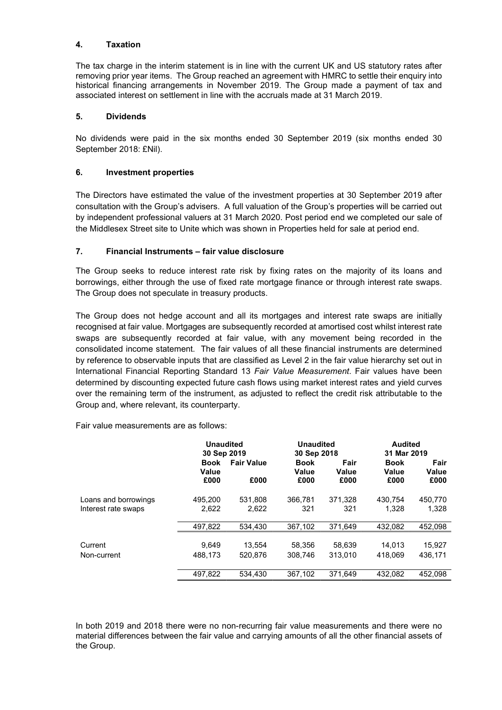#### 4. Taxation

The tax charge in the interim statement is in line with the current UK and US statutory rates after removing prior year items. The Group reached an agreement with HMRC to settle their enquiry into historical financing arrangements in November 2019. The Group made a payment of tax and associated interest on settlement in line with the accruals made at 31 March 2019.

### 5. Dividends

No dividends were paid in the six months ended 30 September 2019 (six months ended 30 September 2018: £Nil).

### 6. Investment properties

The Directors have estimated the value of the investment properties at 30 September 2019 after consultation with the Group's advisers. A full valuation of the Group's properties will be carried out by independent professional valuers at 31 March 2020. Post period end we completed our sale of the Middlesex Street site to Unite which was shown in Properties held for sale at period end.

### 7. Financial Instruments – fair value disclosure

 The Group seeks to reduce interest rate risk by fixing rates on the majority of its loans and borrowings, either through the use of fixed rate mortgage finance or through interest rate swaps. The Group does not speculate in treasury products.

 The Group does not hedge account and all its mortgages and interest rate swaps are initially recognised at fair value. Mortgages are subsequently recorded at amortised cost whilst interest rate swaps are subsequently recorded at fair value, with any movement being recorded in the consolidated income statement. The fair values of all these financial instruments are determined by reference to observable inputs that are classified as Level 2 in the fair value hierarchy set out in International Financial Reporting Standard 13 Fair Value Measurement. Fair values have been determined by discounting expected future cash flows using market interest rates and yield curves over the remaining term of the instrument, as adjusted to reflect the credit risk attributable to the Group and, where relevant, its counterparty.

Fair value measurements are as follows:

|                      | <b>Unaudited</b>             |                           | <b>Unaudited</b>             |                       | <b>Audited</b>               |                       |
|----------------------|------------------------------|---------------------------|------------------------------|-----------------------|------------------------------|-----------------------|
|                      | 30 Sep 2019                  |                           | 30 Sep 2018                  |                       | 31 Mar 2019                  |                       |
|                      | <b>Book</b><br>Value<br>£000 | <b>Fair Value</b><br>£000 | <b>Book</b><br>Value<br>£000 | Fair<br>Value<br>£000 | <b>Book</b><br>Value<br>£000 | Fair<br>Value<br>£000 |
| Loans and borrowings | 495.200                      | 531.808                   | 366.781                      | 371.328               | 430.754                      | 450,770               |
| Interest rate swaps  | 2,622                        | 2,622                     | 321                          | 321                   | 1.328                        | 1,328                 |
|                      | 497,822                      | 534,430                   | 367,102                      | 371,649               | 432,082                      | 452,098               |
| Current              | 9,649                        | 13,554                    | 58,356                       | 58,639                | 14,013                       | 15,927                |
| Non-current          | 488.173                      | 520.876                   | 308.746                      | 313.010               | 418.069                      | 436.171               |
|                      | 497,822                      | 534.430                   | 367.102                      | 371.649               | 432.082                      | 452,098               |

In both 2019 and 2018 there were no non-recurring fair value measurements and there were no material differences between the fair value and carrying amounts of all the other financial assets of the Group.